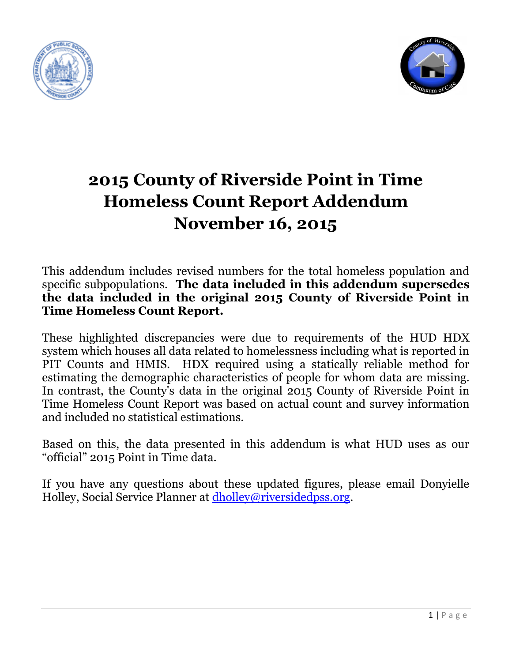



# **2015 County of Riverside Point in Time Homeless Count Report Addendum November 16, 2015**

## This addendum includes revised numbers for the total homeless population and specific subpopulations. **The data included in this addendum supersedes the data included in the original 2015 County of Riverside Point in Time Homeless Count Report.**

These highlighted discrepancies were due to requirements of the HUD HDX system which houses all data related to homelessness including what is reported in PIT Counts and HMIS. HDX required using a statically reliable method for estimating the demographic characteristics of people for whom data are missing. In contrast, the County's data in the original 2015 County of Riverside Point in Time Homeless Count Report was based on actual count and survey information and included no statistical estimations.

Based on this, the data presented in this addendum is what HUD uses as our "official" 2015 Point in Time data.

If you have any questions about these updated figures, please email Donyielle Holley, Social Service Planner at [dholley@riversidedpss.org.](mailto:dholley@riversidedpss.org)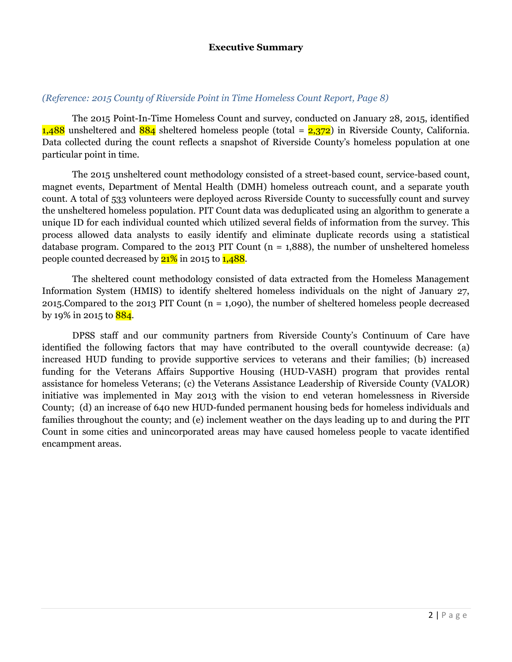#### **Executive Summary**

#### *(Reference: 2015 County of Riverside Point in Time Homeless Count Report, Page 8)*

The 2015 Point-In-Time Homeless Count and survey, conducted on January 28, 2015, identified 1,488 unsheltered and  $884$  sheltered homeless people (total =  $2,372$ ) in Riverside County, California. Data collected during the count reflects a snapshot of Riverside County's homeless population at one particular point in time.

The 2015 unsheltered count methodology consisted of a street-based count, service-based count, magnet events, Department of Mental Health (DMH) homeless outreach count, and a separate youth count. A total of 533 volunteers were deployed across Riverside County to successfully count and survey the unsheltered homeless population. PIT Count data was deduplicated using an algorithm to generate a unique ID for each individual counted which utilized several fields of information from the survey. This process allowed data analysts to easily identify and eliminate duplicate records using a statistical database program. Compared to the 2013 PIT Count ( $n = 1,888$ ), the number of unsheltered homeless people counted decreased by  $21\%$  in 2015 to  $1,488$ .

The sheltered count methodology consisted of data extracted from the Homeless Management Information System (HMIS) to identify sheltered homeless individuals on the night of January 27, 2015.Compared to the 2013 PIT Count (n = 1,090), the number of sheltered homeless people decreased by 19% in 2015 to  $884$ .

DPSS staff and our community partners from Riverside County's Continuum of Care have identified the following factors that may have contributed to the overall countywide decrease: (a) increased HUD funding to provide supportive services to veterans and their families; (b) increased funding for the Veterans Affairs Supportive Housing (HUD-VASH) program that provides rental assistance for homeless Veterans; (c) the Veterans Assistance Leadership of Riverside County (VALOR) initiative was implemented in May 2013 with the vision to end veteran homelessness in Riverside County; (d) an increase of 640 new HUD-funded permanent housing beds for homeless individuals and families throughout the county; and (e) inclement weather on the days leading up to and during the PIT Count in some cities and unincorporated areas may have caused homeless people to vacate identified encampment areas.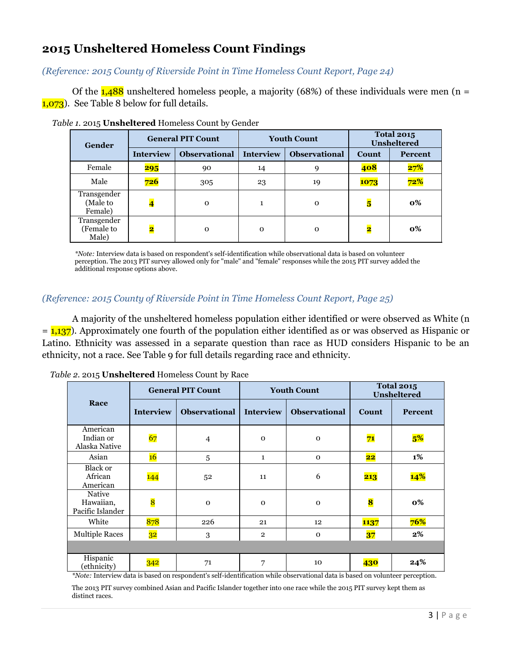## **2015 Unsheltered Homeless Count Findings**

*(Reference: 2015 County of Riverside Point in Time Homeless Count Report, Page 24)*

Of the  $1,488$  unsheltered homeless people, a majority (68%) of these individuals were men (n = 1,073). See Table 8 below for full details.

| Gender                             | <b>General PIT Count</b> |                      |                  | <b>Youth Count</b>   | <b>Total 2015</b><br><b>Unsheltered</b> |         |
|------------------------------------|--------------------------|----------------------|------------------|----------------------|-----------------------------------------|---------|
|                                    | <b>Interview</b>         | <b>Observational</b> | <b>Interview</b> | <b>Observational</b> | <b>Count</b>                            | Percent |
| Female                             | 295                      | 90                   | 14               | 9                    | 408                                     | 27%     |
| Male                               | 726                      | 305                  | 23               | 19                   | 1073                                    | 72%     |
| Transgender<br>(Male to<br>Female) | $\overline{\mathbf{4}}$  | $\mathbf 0$          | 1                | $\mathbf 0$          | $\overline{\mathbf{5}}$                 | 0%      |
| Transgender<br>(Female to<br>Male) | 2                        | $\mathbf 0$          | $\mathbf 0$      | $\Omega$             | $\overline{\mathbf{2}}$                 | 0%      |

 *Table 1.* 2015 **Unsheltered** Homeless Count by Gender

*\*Note:* Interview data is based on respondent's self-identification while observational data is based on volunteer perception. The 2013 PIT survey allowed only for "male" and "female" responses while the 2015 PIT survey added the additional response options above.

#### *(Reference: 2015 County of Riverside Point in Time Homeless Count Report, Page 25)*

A majority of the unsheltered homeless population either identified or were observed as White (n  $= 1,137$ ). Approximately one fourth of the population either identified as or was observed as Hispanic or Latino. Ethnicity was assessed in a separate question than race as HUD considers Hispanic to be an ethnicity, not a race. See Table 9 for full details regarding race and ethnicity.

| Race                                    | <b>General PIT Count</b> |                      |                  | <b>Youth Count</b>   | <b>Total 2015</b><br>Unsheltered |                |
|-----------------------------------------|--------------------------|----------------------|------------------|----------------------|----------------------------------|----------------|
|                                         | <b>Interview</b>         | <b>Observational</b> | <b>Interview</b> | <b>Observational</b> | <b>Count</b>                     | <b>Percent</b> |
| American<br>Indian or<br>Alaska Native  | 67                       | $\overline{4}$       | $\mathbf 0$      | $\mathbf 0$          | 71                               | 5%             |
| Asian                                   | 16                       | 5                    | $\mathbf{1}$     | $\mathbf 0$          | $\overline{\mathbf{22}}$         | 1%             |
| <b>Black or</b><br>African<br>American  | 144                      | 52                   | 11               | 6                    | 213                              | 14%            |
| Native<br>Hawaiian,<br>Pacific Islander | 8                        | $\mathbf 0$          | $\mathbf 0$      | $\mathbf 0$          | 8                                | 0%             |
| White                                   | 878                      | 226                  | 21               | 12                   | <b>1137</b>                      | 76%            |
| <b>Multiple Races</b>                   | 32                       | 3                    | $\overline{2}$   | $\mathbf 0$          | 37                               | $2\%$          |
|                                         |                          |                      |                  |                      |                                  |                |
| Hispanic<br>(ethnicity)                 | 342                      | 71                   | 7                | 10                   | 430                              | 24%            |

 *Table 2.* 2015 **Unsheltered** Homeless Count by Race

*\*Note:* Interview data is based on respondent's self-identification while observational data is based on volunteer perception.

The 2013 PIT survey combined Asian and Pacific Islander together into one race while the 2015 PIT survey kept them as distinct races.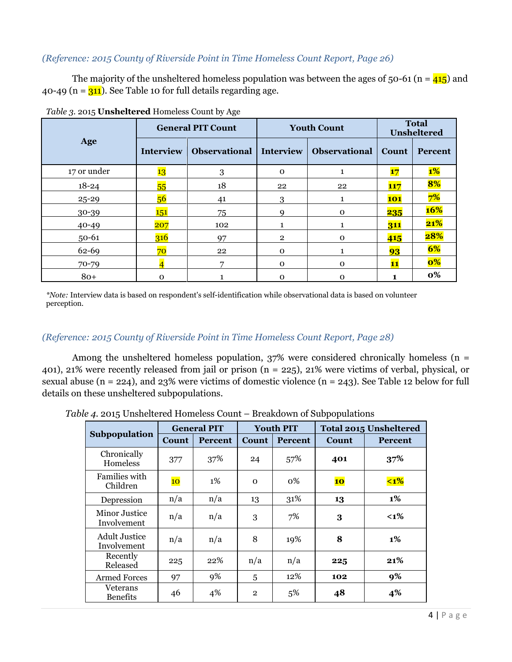#### *(Reference: 2015 County of Riverside Point in Time Homeless Count Report, Page 26)*

The majority of the unsheltered homeless population was between the ages of 50-61 (n =  $\frac{415}{2}$ ) and 40-49 ( $n = 311$ ). See Table 10 for full details regarding age.

|             |                  | $\tilde{\phantom{a}}$     |              |                      |                             |                |
|-------------|------------------|---------------------------|--------------|----------------------|-----------------------------|----------------|
| Age         |                  | <b>General PIT Count</b>  |              | <b>Youth Count</b>   | <b>Total</b><br>Unsheltered |                |
|             | <b>Interview</b> | Observational   Interview |              | <b>Observational</b> | <b>Count</b>                | <b>Percent</b> |
| 17 or under | 13               | 3                         | $\mathbf 0$  | 1                    | 17                          | $1\%$          |
| $18 - 24$   | 55               | 18                        | 22           | 22                   | <b>117</b>                  | 8%             |
| 25-29       | 56               | 41                        | 3            |                      | <b>101</b>                  | 7%             |
| 30-39       | 151              | 75                        |              | $\mathbf 0$          | <b>235</b>                  | <b>16%</b>     |
| $40 - 49$   | 207              | 102                       |              |                      | 311                         | 21%            |
| $50 - 61$   | 316              | 97                        | $\mathbf{2}$ | $\mathbf 0$          | 415                         | 28%            |
| 62-69       | 70               | 22                        | $\Omega$     |                      | 93                          | 6%             |
| 70-79       |                  | 7                         | $\Omega$     | $\mathbf 0$          | 11                          | $\mathbf{0\%}$ |
| $80+$       | $\mathbf 0$      |                           | $\mathbf 0$  | O                    |                             | $\mathbf{0\%}$ |

*Table 3.* 2015 **Unsheltered** Homeless Count by Age

*\*Note:* Interview data is based on respondent's self-identification while observational data is based on volunteer perception.

#### *(Reference: 2015 County of Riverside Point in Time Homeless Count Report, Page 28)*

Among the unsheltered homeless population,  $37%$  were considered chronically homeless (n = 401), 21% were recently released from jail or prison (n = 225), 21% were victims of verbal, physical, or sexual abuse (n = 224), and 23% were victims of domestic violence (n = 243). See Table 12 below for full details on these unsheltered subpopulations.

|                                     | <b>General PIT</b> |                | <b>Youth PIT</b> |                | Total 2015 Unsheltered |         |  |
|-------------------------------------|--------------------|----------------|------------------|----------------|------------------------|---------|--|
| Subpopulation                       | Count              | <b>Percent</b> | Count            | <b>Percent</b> | Count                  | Percent |  |
| Chronically<br>Homeless             | 377                | 37%            | 24               | 57%            | 401                    | 37%     |  |
| Families with<br>Children           | $\overline{10}$    | $1\%$          | $\mathbf 0$      | 0%             | 10                     | $1%$    |  |
| Depression                          | n/a                | n/a            | 13               | 31%            | 13                     | 1%      |  |
| Minor Justice<br>Involvement        | n/a                | n/a            | 3                | 7%             | 3                      | $< 1\%$ |  |
| <b>Adult Justice</b><br>Involvement | n/a                | n/a            | 8                | 19%            | 8                      | $1\%$   |  |
| Recently<br>Released                | 225                | 22%            | n/a              | n/a            | 225                    | 21%     |  |
| <b>Armed Forces</b>                 | 97                 | 9%             | 5                | 12%            | 102                    | 9%      |  |
| Veterans<br><b>Benefits</b>         | 46                 | 4%             | $\overline{2}$   | 5%             | 48                     | 4%      |  |

*Table 4.* 2015 Unsheltered Homeless Count – Breakdown of Subpopulations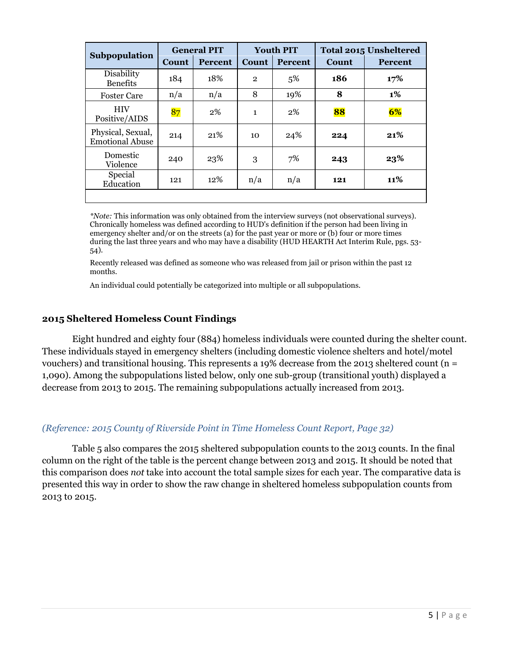|                                             | <b>General PIT</b> |                | <b>Youth PIT</b> |                | Total 2015 Unsheltered |                |  |
|---------------------------------------------|--------------------|----------------|------------------|----------------|------------------------|----------------|--|
| Subpopulation                               | Count              | <b>Percent</b> | Count            | <b>Percent</b> | Count                  | <b>Percent</b> |  |
| Disability<br><b>Benefits</b>               | 184                | 18%            | $\mathbf{2}$     | 5%             | 186                    | 17%            |  |
| <b>Foster Care</b>                          | n/a                | n/a            | 8                | 19%            | 8                      | 1%             |  |
| <b>HIV</b><br>Positive/AIDS                 | 87                 | $2\%$          | $\mathbf{1}$     | 2%             | 88                     | 6%             |  |
| Physical, Sexual,<br><b>Emotional Abuse</b> | 214                | 21\%           | 10               | 24%            | 224                    | 21%            |  |
| Domestic<br>Violence                        | 240                | 23%            | 3                | 7%             | 243                    | 23%            |  |
| Special<br>Education                        | 121                | 12%            | n/a              | n/a            | 121                    | 11%            |  |
|                                             |                    |                |                  |                |                        |                |  |

*\*Note:* This information was only obtained from the interview surveys (not observational surveys). Chronically homeless was defined according to HUD's definition if the person had been living in emergency shelter and/or on the streets (a) for the past year or more or (b) four or more times during the last three years and who may have a disability (HUD HEARTH Act Interim Rule, pgs. 53- 54).

Recently released was defined as someone who was released from jail or prison within the past 12 months.

An individual could potentially be categorized into multiple or all subpopulations.

#### **2015 Sheltered Homeless Count Findings**

Eight hundred and eighty four (884) homeless individuals were counted during the shelter count. These individuals stayed in emergency shelters (including domestic violence shelters and hotel/motel vouchers) and transitional housing. This represents a 19% decrease from the 2013 sheltered count (n = 1,090). Among the subpopulations listed below, only one sub-group (transitional youth) displayed a decrease from 2013 to 2015. The remaining subpopulations actually increased from 2013.

#### *(Reference: 2015 County of Riverside Point in Time Homeless Count Report, Page 32)*

Table 5 also compares the 2015 sheltered subpopulation counts to the 2013 counts. In the final column on the right of the table is the percent change between 2013 and 2015. It should be noted that this comparison does *not* take into account the total sample sizes for each year. The comparative data is presented this way in order to show the raw change in sheltered homeless subpopulation counts from 2013 to 2015.